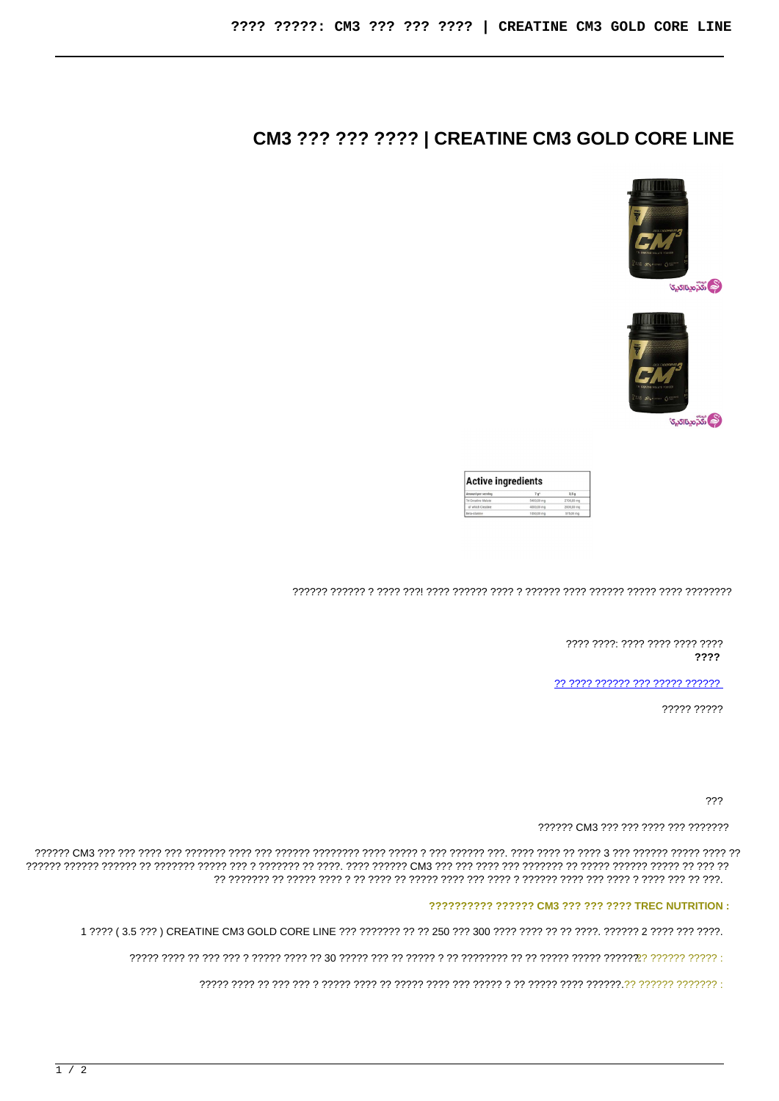## CM3 ??? ??? ???? | CREATINE CM3 GOLD CORE LINE





| <b>Active ingredients</b> |                 |                  |
|---------------------------|-----------------|------------------|
| Amount per serving        | 7e <sub>5</sub> | 3.5 <sub>q</sub> |
| Tri-Creatine Malate       | 5400.00 mg      | 2700.00 mg       |
| of which Creatine         | 4000.00 mg      | 2000.00 mg       |
| Beta-Alanine              | 1050,00 mg      | 575,00 mg        |

???? ????: ???? ???? ???? ???? ????

?? ???? ?????? ??? ????? ??????

????? ?????

???

?????? CM3 ??? ??? ???? ??? ????????

## ?????????? ?????? CM3 ??? ??? ???? TREC NUTRITION :

1 ???? (3.5 ???) CREATINE CM3 GOLD CORE LINE ??? ??????? ?? ?? 250 ??? 300 ???? ???? ?? ?? ????. ?????? 2 ???? ????.